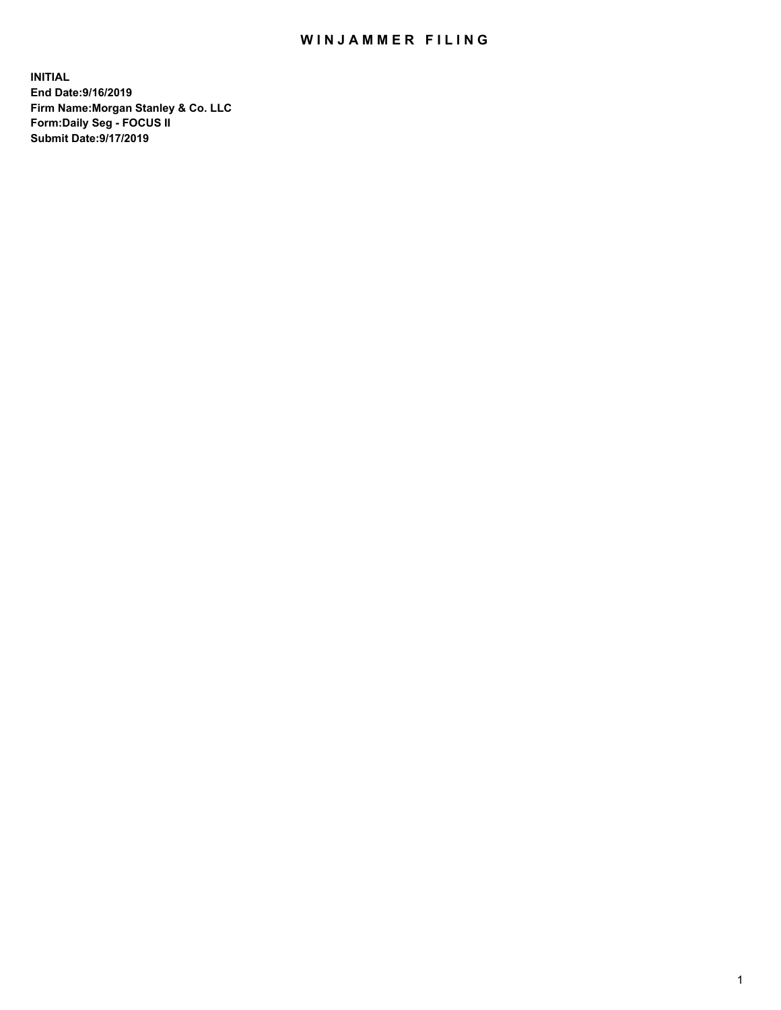## WIN JAMMER FILING

**INITIAL End Date:9/16/2019 Firm Name:Morgan Stanley & Co. LLC Form:Daily Seg - FOCUS II Submit Date:9/17/2019**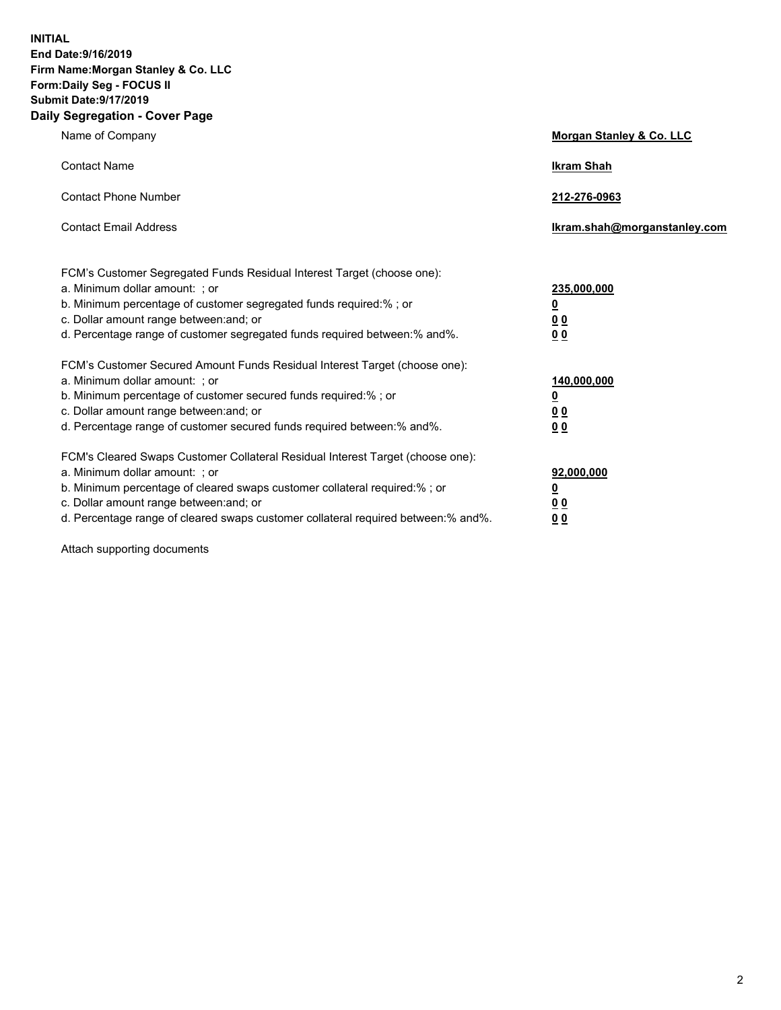**INITIAL End Date:9/16/2019 Firm Name:Morgan Stanley & Co. LLC Form:Daily Seg - FOCUS II Submit Date:9/17/2019 Daily Segregation - Cover Page**

| Name of Company                                                                   | Morgan Stanley & Co. LLC     |
|-----------------------------------------------------------------------------------|------------------------------|
| <b>Contact Name</b>                                                               | <b>Ikram Shah</b>            |
| <b>Contact Phone Number</b>                                                       | 212-276-0963                 |
| <b>Contact Email Address</b>                                                      | Ikram.shah@morganstanley.com |
| FCM's Customer Segregated Funds Residual Interest Target (choose one):            |                              |
| a. Minimum dollar amount: ; or                                                    | 235,000,000                  |
| b. Minimum percentage of customer segregated funds required:% ; or                | <u>0</u>                     |
| c. Dollar amount range between: and; or                                           | <u>0 0</u>                   |
| d. Percentage range of customer segregated funds required between: % and %.       | 00                           |
| FCM's Customer Secured Amount Funds Residual Interest Target (choose one):        |                              |
| a. Minimum dollar amount: ; or                                                    | 140,000,000                  |
| b. Minimum percentage of customer secured funds required:%; or                    | <u>0</u>                     |
| c. Dollar amount range between: and; or                                           | 0 <sub>0</sub>               |
| d. Percentage range of customer secured funds required between:% and%.            | 0 <sub>0</sub>               |
| FCM's Cleared Swaps Customer Collateral Residual Interest Target (choose one):    |                              |
| a. Minimum dollar amount: ; or                                                    | 92,000,000                   |
| b. Minimum percentage of cleared swaps customer collateral required:% ; or        | <u>0</u>                     |
| c. Dollar amount range between: and; or                                           | 0 Q                          |
| d. Percentage range of cleared swaps customer collateral required between:% and%. | 00                           |

Attach supporting documents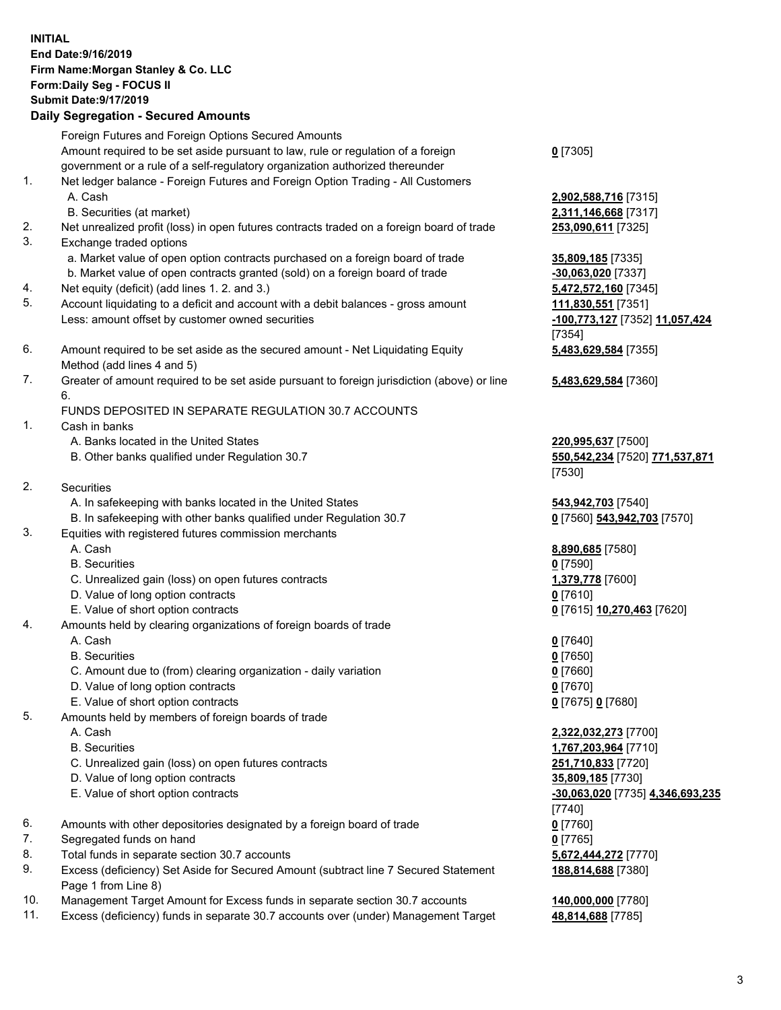## **INITIAL End Date:9/16/2019 Firm Name:Morgan Stanley & Co. LLC Form:Daily Seg - FOCUS II Submit Date:9/17/2019 Daily Segregation - Secured Amounts** Foreign Futures and Foreign Options Secured Amounts Amount required to be set aside pursuant to law, rule or regulation of a foreign government or a rule of a self-regulatory organization authorized thereunder 1. Net ledger balance - Foreign Futures and Foreign Option Trading - All Customers A. Cash **2,902,588,716** [7315] B. Securities (at market) **2,311,146,668** [7317] 2. Net unrealized profit (loss) in open futures contracts traded on a foreign board of trade **253,090,611** [7325] 3. Exchange traded options a. Market value of open option contracts purchased on a foreign board of trade **35,809,185** [7335] b. Market value of open contracts granted (sold) on a foreign board of trade **-30,063,020** [7337] 4. Net equity (deficit) (add lines 1. 2. and 3.) **5,472,572,160** [7345] 5. Account liquidating to a deficit and account with a debit balances - gross amount **111,830,551** [7351] Less: amount offset by customer owned securities **-100,773,127** [7352] **11,057,424** 6. Amount required to be set aside as the secured amount - Net Liquidating Equity Method (add lines 4 and 5) 7. Greater of amount required to be set aside pursuant to foreign jurisdiction (above) or line 6. FUNDS DEPOSITED IN SEPARATE REGULATION 30.7 ACCOUNTS 1. Cash in banks A. Banks located in the United States **220,995,637** [7500] B. Other banks qualified under Regulation 30.7 **550,542,234** [7520] **771,537,871** 2. Securities A. In safekeeping with banks located in the United States **543,942,703** [7540] B. In safekeeping with other banks qualified under Regulation 30.7 **0** [7560] **543,942,703** [7570] 3. Equities with registered futures commission merchants A. Cash **8,890,685** [7580] B. Securities **0** [7590] C. Unrealized gain (loss) on open futures contracts **1,379,778** [7600] D. Value of long option contracts **0** [7610] E. Value of short option contracts **0** [7615] **10,270,463** [7620] 4. Amounts held by clearing organizations of foreign boards of trade A. Cash **0** [7640]

- B. Securities **0** [7650]
- C. Amount due to (from) clearing organization daily variation **0** [7660]
- D. Value of long option contracts **0** [7670]
- E. Value of short option contracts **0** [7675] **0** [7680]
- 5. Amounts held by members of foreign boards of trade
	-
	-
	- C. Unrealized gain (loss) on open futures contracts **251,710,833** [7720]
	- D. Value of long option contracts **35,809,185** [7730]
	- E. Value of short option contracts **-30,063,020** [7735] **4,346,693,235**
- 6. Amounts with other depositories designated by a foreign board of trade **0** [7760]
- 7. Segregated funds on hand **0** [7765]
- 8. Total funds in separate section 30.7 accounts **5,672,444,272** [7770]
- 9. Excess (deficiency) Set Aside for Secured Amount (subtract line 7 Secured Statement Page 1 from Line 8)
- 10. Management Target Amount for Excess funds in separate section 30.7 accounts **140,000,000** [7780]
- 11. Excess (deficiency) funds in separate 30.7 accounts over (under) Management Target **48,814,688** [7785]

**0** [7305]

[7354] **5,483,629,584** [7355]

**5,483,629,584** [7360]

[7530]

 A. Cash **2,322,032,273** [7700] B. Securities **1,767,203,964** [7710] [7740] **188,814,688** [7380]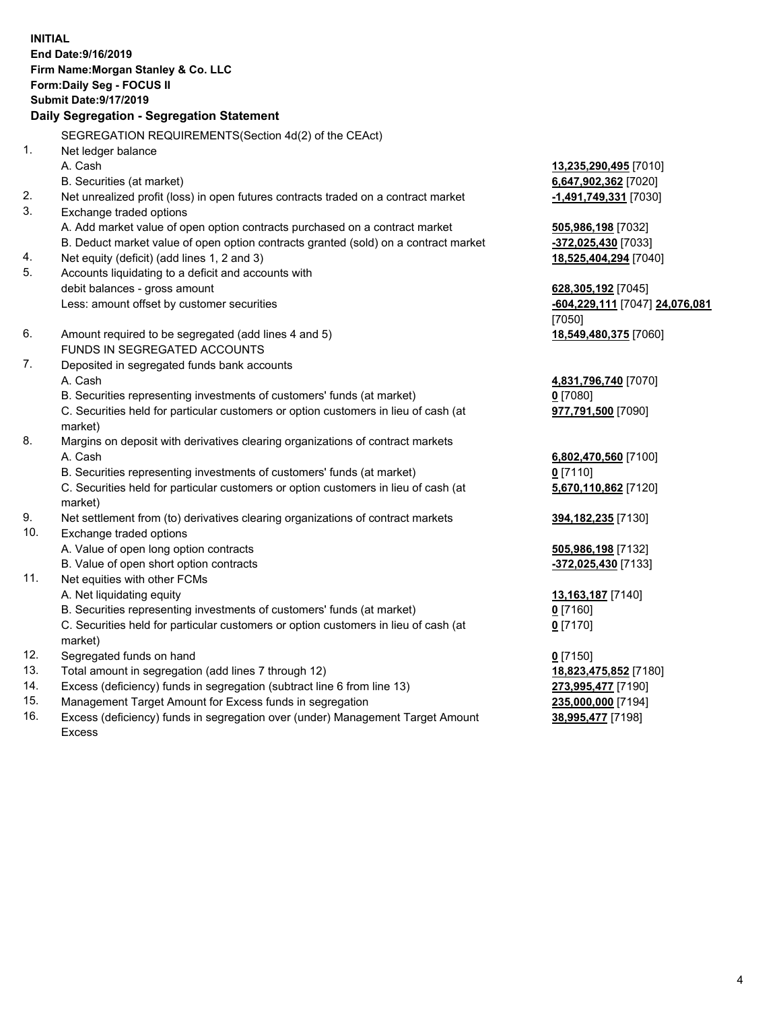**INITIAL End Date:9/16/2019 Firm Name:Morgan Stanley & Co. LLC Form:Daily Seg - FOCUS II Submit Date:9/17/2019 Daily Segregation - Segregation Statement** SEGREGATION REQUIREMENTS(Section 4d(2) of the CEAct) 1. Net ledger balance A. Cash **13,235,290,495** [7010] B. Securities (at market) **6,647,902,362** [7020] 2. Net unrealized profit (loss) in open futures contracts traded on a contract market **-1,491,749,331** [7030] 3. Exchange traded options A. Add market value of open option contracts purchased on a contract market **505,986,198** [7032] B. Deduct market value of open option contracts granted (sold) on a contract market **-372,025,430** [7033] 4. Net equity (deficit) (add lines 1, 2 and 3) **18,525,404,294** [7040] 5. Accounts liquidating to a deficit and accounts with debit balances - gross amount **628,305,192** [7045] Less: amount offset by customer securities **-604,229,111** [7047] **24,076,081** [7050] 6. Amount required to be segregated (add lines 4 and 5) **18,549,480,375** [7060] FUNDS IN SEGREGATED ACCOUNTS 7. Deposited in segregated funds bank accounts A. Cash **4,831,796,740** [7070] B. Securities representing investments of customers' funds (at market) **0** [7080] C. Securities held for particular customers or option customers in lieu of cash (at market) **977,791,500** [7090] 8. Margins on deposit with derivatives clearing organizations of contract markets A. Cash **6,802,470,560** [7100] B. Securities representing investments of customers' funds (at market) **0** [7110] C. Securities held for particular customers or option customers in lieu of cash (at market) **5,670,110,862** [7120] 9. Net settlement from (to) derivatives clearing organizations of contract markets **394,182,235** [7130] 10. Exchange traded options A. Value of open long option contracts **505,986,198** [7132] B. Value of open short option contracts **-372,025,430** [7133] 11. Net equities with other FCMs A. Net liquidating equity **13,163,187** [7140] B. Securities representing investments of customers' funds (at market) **0** [7160] C. Securities held for particular customers or option customers in lieu of cash (at market) **0** [7170] 12. Segregated funds on hand **0** [7150] 13. Total amount in segregation (add lines 7 through 12) **18,823,475,852** [7180] 14. Excess (deficiency) funds in segregation (subtract line 6 from line 13) **273,995,477** [7190]

- 15. Management Target Amount for Excess funds in segregation **235,000,000** [7194]
- 16. Excess (deficiency) funds in segregation over (under) Management Target Amount Excess

**38,995,477** [7198]